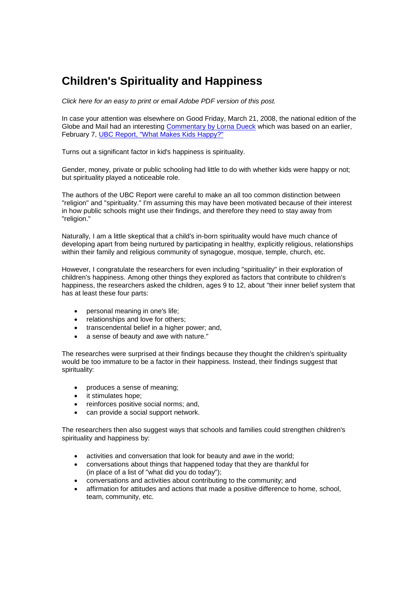## **Children's Spirituality and Happiness**

*Click here for an easy to print or email Adobe PDF version of this post.*

In case your attention was elsewhere on Good Friday, March 21, 2008, the national edition of the Globe and Mail had an interesting Commentary by Lorna Dueck which was based on an earlier, February 7, UBC Report, "What Makes Kids Happy?"

Turns out a significant factor in kid's happiness is spirituality.

Gender, money, private or public schooling had little to do with whether kids were happy or not; but spirituality played a noticeable role.

The authors of the UBC Report were careful to make an all too common distinction between "religion" and "spirituality." I'm assuming this may have been motivated because of their interest in how public schools might use their findings, and therefore they need to stay away from "religion."

Naturally, I am a little skeptical that a child's in-born spirituality would have much chance of developing apart from being nurtured by participating in healthy, explicitly religious, relationships within their family and religious community of synagogue, mosque, temple, church, etc.

However, I congratulate the researchers for even including "spirituality" in their exploration of children's happiness. Among other things they explored as factors that contribute to children's happiness, the researchers asked the children, ages 9 to 12, about "their inner belief system that has at least these four parts:

- personal meaning in one's life;
- relationships and love for others;
- transcendental belief in a higher power; and,
- a sense of beauty and awe with nature."

The researches were surprised at their findings because they thought the children's spirituality would be too immature to be a factor in their happiness. Instead, their findings suggest that spirituality:

- produces a sense of meaning;
- it stimulates hope;
- reinforces positive social norms; and,
- can provide a social support network.

The researchers then also suggest ways that schools and families could strengthen children's spirituality and happiness by:

- activities and conversation that look for beauty and awe in the world;
- conversations about things that happened today that they are thankful for (in place of a list of "what did you do today");
- conversations and activities about contributing to the community; and
- affirmation for attitudes and actions that made a positive difference to home, school, team, community, etc.